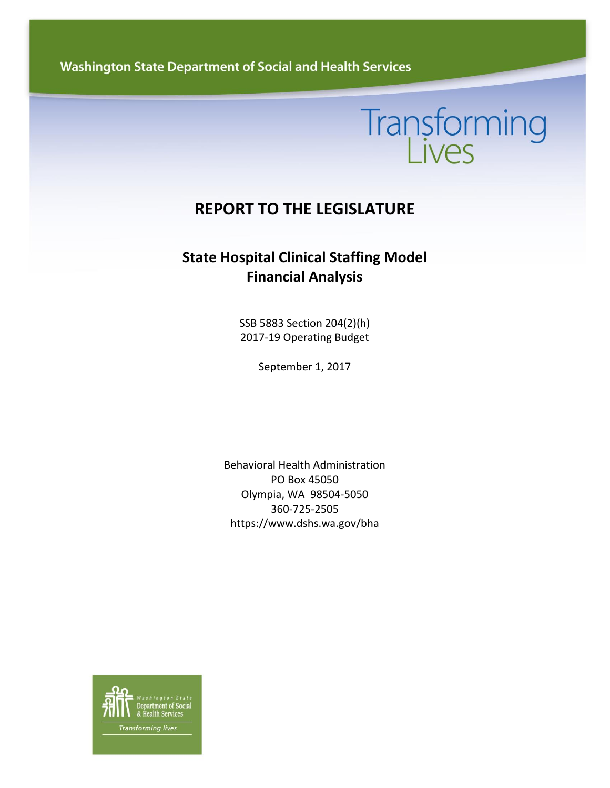**Washington State Department of Social and Health Services** 

# Transforming

## **REPORT TO THE LEGISLATURE**

### **State Hospital Clinical Staffing Model Financial Analysis**

SSB 5883 Section 204(2)(h) 2017-19 Operating Budget

September 1, 2017

Behavioral Health Administration PO Box 45050 Olympia, WA 98504-5050 360-725-2505 https://www.dshs.wa.gov/bha

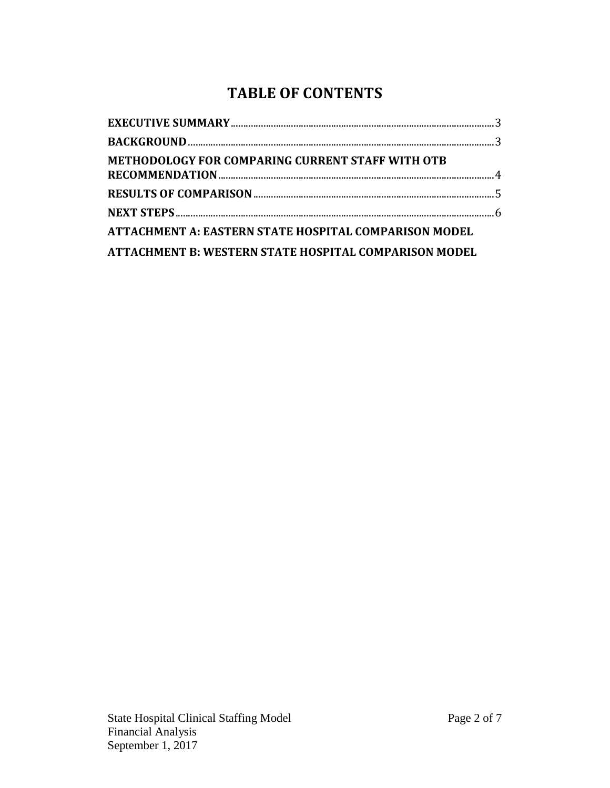## **TABLE OF CONTENTS**

| METHODOLOGY FOR COMPARING CURRENT STAFF WITH OTB             |  |
|--------------------------------------------------------------|--|
|                                                              |  |
|                                                              |  |
| <b>ATTACHMENT A: EASTERN STATE HOSPITAL COMPARISON MODEL</b> |  |
| ATTACHMENT B: WESTERN STATE HOSPITAL COMPARISON MODEL        |  |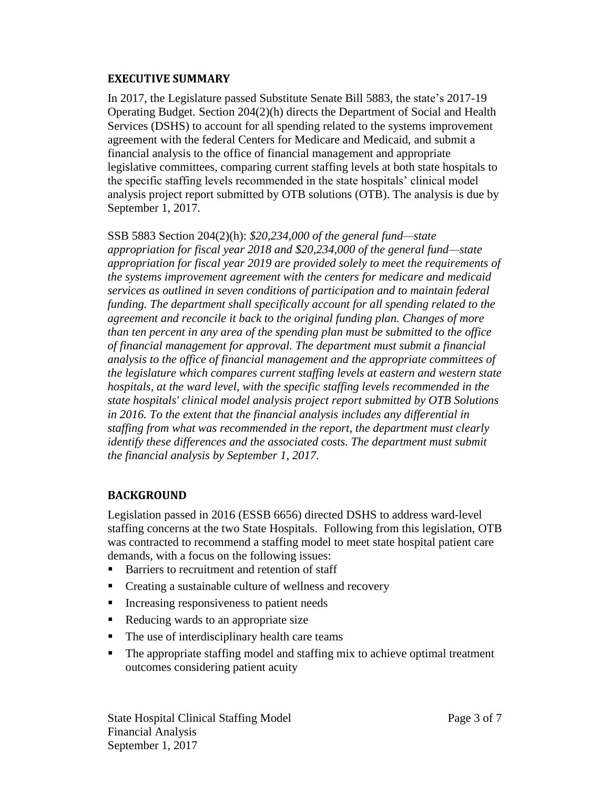#### <span id="page-2-0"></span>**EXECUTIVE SUMMARY**

In 2017, the Legislature passed Substitute Senate Bill 5883, the state's 2017-19 Operating Budget. Section 204(2)(h) directs the Department of Social and Health Services (DSHS) to account for all spending related to the systems improvement agreement with the federal Centers for Medicare and Medicaid, and submit a financial analysis to the office of financial management and appropriate legislative committees, comparing current staffing levels at both state hospitals to the specific staffing levels recommended in the state hospitals' clinical model analysis project report submitted by OTB solutions (OTB). The analysis is due by September 1, 2017.

SSB 5883 Section 204(2)(h): *\$20,234,000 of the general fund—state appropriation for fiscal year 2018 and \$20,234,000 of the general fund—state appropriation for fiscal year 2019 are provided solely to meet the requirements of the systems improvement agreement with the centers for medicare and medicaid services as outlined in seven conditions of participation and to maintain federal funding. The department shall specifically account for all spending related to the agreement and reconcile it back to the original funding plan. Changes of more than ten percent in any area of the spending plan must be submitted to the office of financial management for approval. The department must submit a financial analysis to the office of financial management and the appropriate committees of the legislature which compares current staffing levels at eastern and western state hospitals, at the ward level, with the specific staffing levels recommended in the state hospitals' clinical model analysis project report submitted by OTB Solutions in 2016. To the extent that the financial analysis includes any differential in staffing from what was recommended in the report, the department must clearly identify these differences and the associated costs. The department must submit the financial analysis by September 1, 2017.*

#### <span id="page-2-1"></span>**BACKGROUND**

Legislation passed in 2016 (ESSB 6656) directed DSHS to address ward-level staffing concerns at the two State Hospitals. Following from this legislation, OTB was contracted to recommend a staffing model to meet state hospital patient care demands, with a focus on the following issues:

- Barriers to recruitment and retention of staff
- Creating a sustainable culture of wellness and recovery
- Increasing responsiveness to patient needs
- Reducing wards to an appropriate size
- $\blacksquare$  The use of interdisciplinary health care teams
- The appropriate staffing model and staffing mix to achieve optimal treatment outcomes considering patient acuity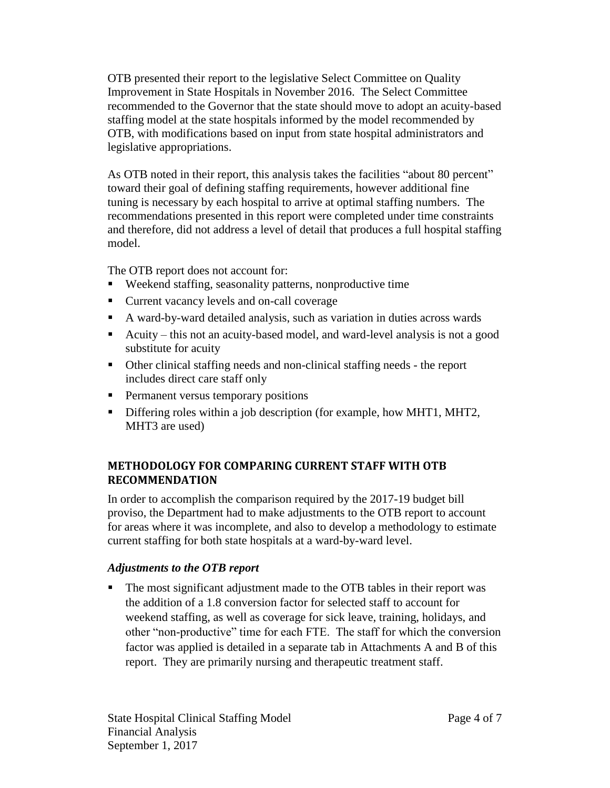OTB presented their report to the legislative Select Committee on Quality Improvement in State Hospitals in November 2016. The Select Committee recommended to the Governor that the state should move to adopt an acuity-based staffing model at the state hospitals informed by the model recommended by OTB, with modifications based on input from state hospital administrators and legislative appropriations.

As OTB noted in their report, this analysis takes the facilities "about 80 percent" toward their goal of defining staffing requirements, however additional fine tuning is necessary by each hospital to arrive at optimal staffing numbers. The recommendations presented in this report were completed under time constraints and therefore, did not address a level of detail that produces a full hospital staffing model.

The OTB report does not account for:

- Weekend staffing, seasonality patterns, nonproductive time
- Current vacancy levels and on-call coverage
- A ward-by-ward detailed analysis, such as variation in duties across wards
- Acuity this not an acuity-based model, and ward-level analysis is not a good substitute for acuity
- Other clinical staffing needs and non-clinical staffing needs the report includes direct care staff only
- **Permanent versus temporary positions**
- Differing roles within a job description (for example, how MHT1, MHT2, MHT3 are used)

#### <span id="page-3-0"></span>**METHODOLOGY FOR COMPARING CURRENT STAFF WITH OTB RECOMMENDATION**

In order to accomplish the comparison required by the 2017-19 budget bill proviso, the Department had to make adjustments to the OTB report to account for areas where it was incomplete, and also to develop a methodology to estimate current staffing for both state hospitals at a ward-by-ward level.

#### *Adjustments to the OTB report*

 The most significant adjustment made to the OTB tables in their report was the addition of a 1.8 conversion factor for selected staff to account for weekend staffing, as well as coverage for sick leave, training, holidays, and other "non-productive" time for each FTE. The staff for which the conversion factor was applied is detailed in a separate tab in Attachments A and B of this report. They are primarily nursing and therapeutic treatment staff.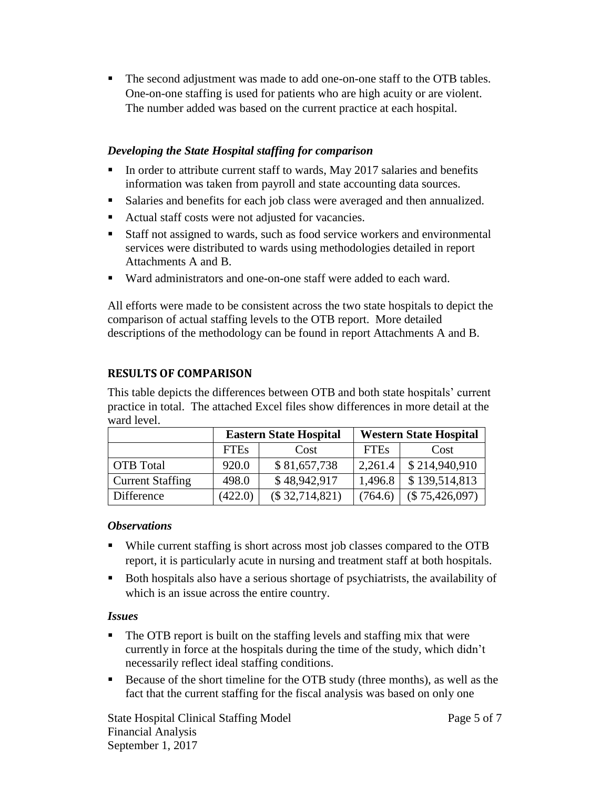The second adjustment was made to add one-on-one staff to the OTB tables. One-on-one staffing is used for patients who are high acuity or are violent. The number added was based on the current practice at each hospital.

#### *Developing the State Hospital staffing for comparison*

- In order to attribute current staff to wards, May 2017 salaries and benefits information was taken from payroll and state accounting data sources.
- Salaries and benefits for each job class were averaged and then annualized.
- Actual staff costs were not adjusted for vacancies.
- Staff not assigned to wards, such as food service workers and environmental services were distributed to wards using methodologies detailed in report Attachments A and B.
- Ward administrators and one-on-one staff were added to each ward.

All efforts were made to be consistent across the two state hospitals to depict the comparison of actual staffing levels to the OTB report. More detailed descriptions of the methodology can be found in report Attachments A and B.

#### <span id="page-4-0"></span>**RESULTS OF COMPARISON**

This table depicts the differences between OTB and both state hospitals' current practice in total. The attached Excel files show differences in more detail at the ward level.

|                         |             | <b>Eastern State Hospital</b> | <b>Western State Hospital</b> |                |
|-------------------------|-------------|-------------------------------|-------------------------------|----------------|
|                         | <b>FTEs</b> | Cost                          | <b>FTEs</b>                   | Cost           |
| <b>OTB</b> Total        | 920.0       | \$81,657,738                  | 2,261.4                       | \$214,940,910  |
| <b>Current Staffing</b> | 498.0       | \$48,942,917                  | 1,496.8                       | \$139,514,813  |
| Difference              | (422.0)     | $(\$32,714,821)$              | (764.6)                       | (\$75,426,097) |

#### *Observations*

- While current staffing is short across most job classes compared to the OTB report, it is particularly acute in nursing and treatment staff at both hospitals.
- Both hospitals also have a serious shortage of psychiatrists, the availability of which is an issue across the entire country.

#### *Issues*

- The OTB report is built on the staffing levels and staffing mix that were currently in force at the hospitals during the time of the study, which didn't necessarily reflect ideal staffing conditions.
- Because of the short timeline for the OTB study (three months), as well as the fact that the current staffing for the fiscal analysis was based on only one

State Hospital Clinical Staffing Model **Page 5 of 7** Page 5 of 7 Financial Analysis September 1, 2017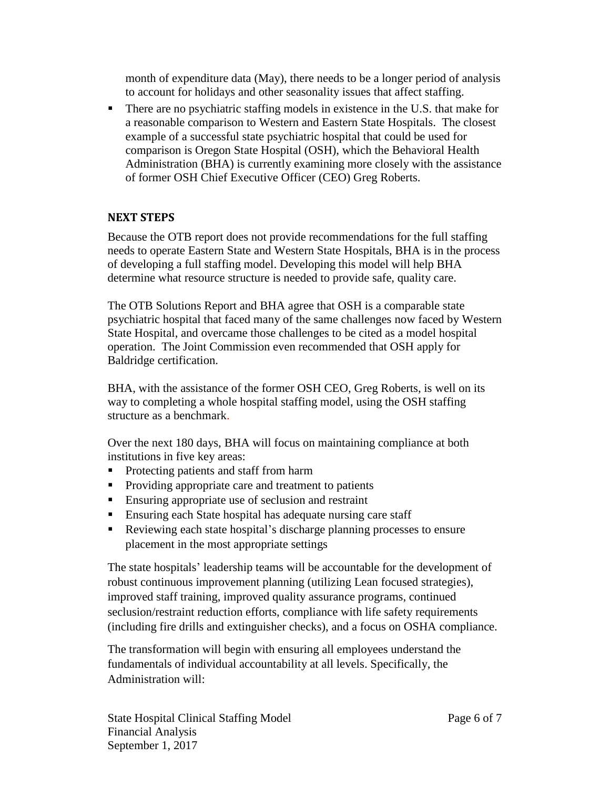month of expenditure data (May), there needs to be a longer period of analysis to account for holidays and other seasonality issues that affect staffing.

• There are no psychiatric staffing models in existence in the U.S. that make for a reasonable comparison to Western and Eastern State Hospitals. The closest example of a successful state psychiatric hospital that could be used for comparison is Oregon State Hospital (OSH), which the Behavioral Health Administration (BHA) is currently examining more closely with the assistance of former OSH Chief Executive Officer (CEO) Greg Roberts.

#### <span id="page-5-0"></span>**NEXT STEPS**

Because the OTB report does not provide recommendations for the full staffing needs to operate Eastern State and Western State Hospitals, BHA is in the process of developing a full staffing model. Developing this model will help BHA determine what resource structure is needed to provide safe, quality care.

The OTB Solutions Report and BHA agree that OSH is a comparable state psychiatric hospital that faced many of the same challenges now faced by Western State Hospital, and overcame those challenges to be cited as a model hospital operation. The Joint Commission even recommended that OSH apply for Baldridge certification.

BHA, with the assistance of the former OSH CEO, Greg Roberts, is well on its way to completing a whole hospital staffing model, using the OSH staffing structure as a benchmark.

Over the next 180 days, BHA will focus on maintaining compliance at both institutions in five key areas:

- **Protecting patients and staff from harm**
- Providing appropriate care and treatment to patients
- **Ensuring appropriate use of seclusion and restraint**
- Ensuring each State hospital has adequate nursing care staff
- Reviewing each state hospital's discharge planning processes to ensure placement in the most appropriate settings

The state hospitals' leadership teams will be accountable for the development of robust continuous improvement planning (utilizing Lean focused strategies), improved staff training, improved quality assurance programs, continued seclusion/restraint reduction efforts, compliance with life safety requirements (including fire drills and extinguisher checks), and a focus on OSHA compliance.

The transformation will begin with ensuring all employees understand the fundamentals of individual accountability at all levels. Specifically, the Administration will: